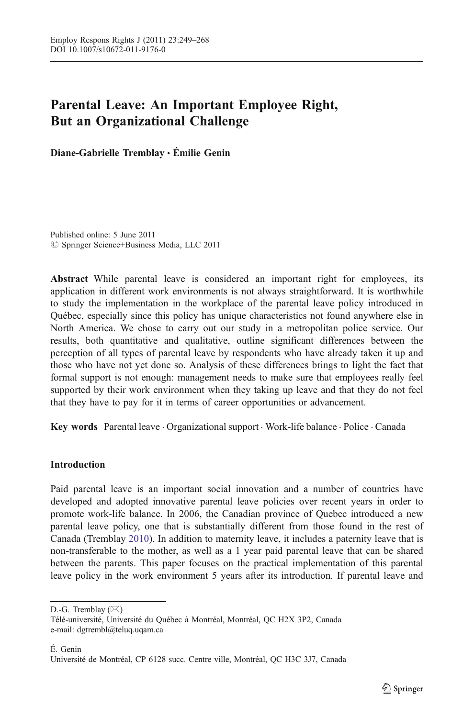# Parental Leave: An Important Employee Right, But an Organizational Challenge

Diane-Gabrielle Tremblay & Émilie Genin

Published online: 5 June 2011  $\circledcirc$  Springer Science+Business Media, LLC 2011

Abstract While parental leave is considered an important right for employees, its application in different work environments is not always straightforward. It is worthwhile to study the implementation in the workplace of the parental leave policy introduced in Québec, especially since this policy has unique characteristics not found anywhere else in North America. We chose to carry out our study in a metropolitan police service. Our results, both quantitative and qualitative, outline significant differences between the perception of all types of parental leave by respondents who have already taken it up and those who have not yet done so. Analysis of these differences brings to light the fact that formal support is not enough: management needs to make sure that employees really feel supported by their work environment when they taking up leave and that they do not feel that they have to pay for it in terms of career opportunities or advancement.

Key words Parental leave . Organizational support . Work-life balance . Police . Canada

# Introduction

Paid parental leave is an important social innovation and a number of countries have developed and adopted innovative parental leave policies over recent years in order to promote work-life balance. In 2006, the Canadian province of Quebec introduced a new parental leave policy, one that is substantially different from those found in the rest of Canada (Tremblay [2010](#page-19-0)). In addition to maternity leave, it includes a paternity leave that is non-transferable to the mother, as well as a 1 year paid parental leave that can be shared between the parents. This paper focuses on the practical implementation of this parental leave policy in the work environment 5 years after its introduction. If parental leave and

D.-G. Tremblay  $(\boxtimes)$ 

É. Genin Université de Montréal, CP 6128 succ. Centre ville, Montréal, QC H3C 3J7, Canada

Télé-université, Université du Québec à Montréal, Montréal, QC H2X 3P2, Canada e-mail: dgtrembl@teluq.uqam.ca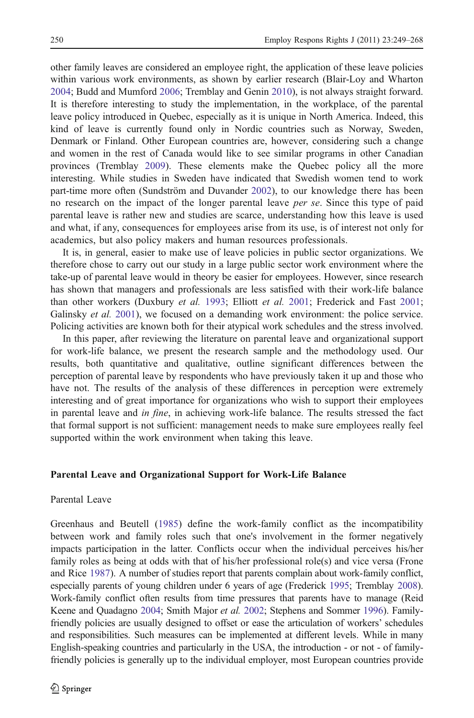other family leaves are considered an employee right, the application of these leave policies within various work environments, as shown by earlier research (Blair-Loy and Wharton [2004;](#page-18-0) Budd and Mumford [2006;](#page-18-0) Tremblay and Genin [2010\)](#page-19-0), is not always straight forward. It is therefore interesting to study the implementation, in the workplace, of the parental leave policy introduced in Quebec, especially as it is unique in North America. Indeed, this kind of leave is currently found only in Nordic countries such as Norway, Sweden, Denmark or Finland. Other European countries are, however, considering such a change and women in the rest of Canada would like to see similar programs in other Canadian provinces (Tremblay [2009\)](#page-19-0). These elements make the Quebec policy all the more interesting. While studies in Sweden have indicated that Swedish women tend to work part-time more often (Sundström and Duvander [2002](#page-19-0)), to our knowledge there has been no research on the impact of the longer parental leave *per se*. Since this type of paid parental leave is rather new and studies are scarce, understanding how this leave is used and what, if any, consequences for employees arise from its use, is of interest not only for academics, but also policy makers and human resources professionals.

It is, in general, easier to make use of leave policies in public sector organizations. We therefore chose to carry out our study in a large public sector work environment where the take-up of parental leave would in theory be easier for employees. However, since research has shown that managers and professionals are less satisfied with their work-life balance than other workers (Duxbury et al. [1993](#page-18-0); Elliott et al. [2001;](#page-18-0) Frederick and Fast [2001](#page-18-0); Galinsky *et al.* [2001\)](#page-19-0), we focused on a demanding work environment: the police service. Policing activities are known both for their atypical work schedules and the stress involved.

In this paper, after reviewing the literature on parental leave and organizational support for work-life balance, we present the research sample and the methodology used. Our results, both quantitative and qualitative, outline significant differences between the perception of parental leave by respondents who have previously taken it up and those who have not. The results of the analysis of these differences in perception were extremely interesting and of great importance for organizations who wish to support their employees in parental leave and in fine, in achieving work-life balance. The results stressed the fact that formal support is not sufficient: management needs to make sure employees really feel supported within the work environment when taking this leave.

## Parental Leave and Organizational Support for Work-Life Balance

## Parental Leave

Greenhaus and Beutell ([1985\)](#page-19-0) define the work-family conflict as the incompatibility between work and family roles such that one's involvement in the former negatively impacts participation in the latter. Conflicts occur when the individual perceives his/her family roles as being at odds with that of his/her professional role(s) and vice versa (Frone and Rice [1987](#page-18-0)). A number of studies report that parents complain about work-family conflict, especially parents of young children under 6 years of age (Frederick [1995;](#page-18-0) Tremblay [2008](#page-19-0)). Work-family conflict often results from time pressures that parents have to manage (Reid Keene and Quadagno [2004;](#page-19-0) Smith Major et al. [2002;](#page-19-0) Stephens and Sommer [1996](#page-19-0)). Familyfriendly policies are usually designed to offset or ease the articulation of workers' schedules and responsibilities. Such measures can be implemented at different levels. While in many English-speaking countries and particularly in the USA, the introduction - or not - of familyfriendly policies is generally up to the individual employer, most European countries provide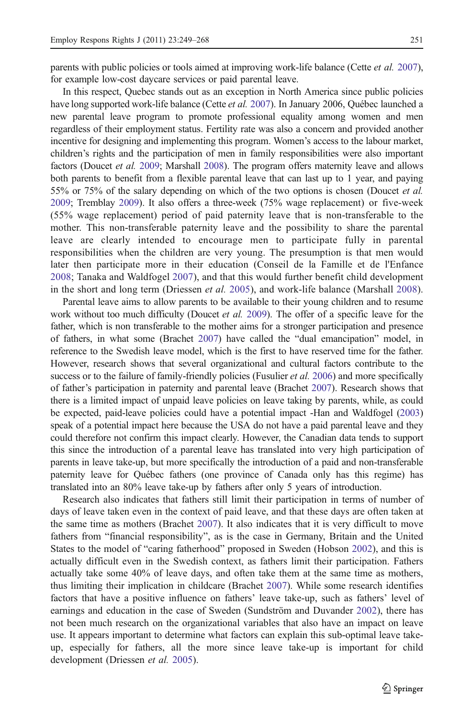parents with public policies or tools aimed at improving work-life balance (Cette *et al.* [2007](#page-18-0)), for example low-cost daycare services or paid parental leave.

In this respect, Quebec stands out as an exception in North America since public policies have long supported work-life balance (Cette *et al.* [2007\)](#page-18-0). In January 2006, Ouébec launched a new parental leave program to promote professional equality among women and men regardless of their employment status. Fertility rate was also a concern and provided another incentive for designing and implementing this program. Women's access to the labour market, children's rights and the participation of men in family responsibilities were also important factors (Doucet et al. [2009;](#page-18-0) Marshall [2008\)](#page-19-0). The program offers maternity leave and allows both parents to benefit from a flexible parental leave that can last up to 1 year, and paying 55% or 75% of the salary depending on which of the two options is chosen (Doucet et al. [2009](#page-18-0); Tremblay [2009\)](#page-19-0). It also offers a three-week (75% wage replacement) or five-week (55% wage replacement) period of paid paternity leave that is non-transferable to the mother. This non-transferable paternity leave and the possibility to share the parental leave are clearly intended to encourage men to participate fully in parental responsibilities when the children are very young. The presumption is that men would later then participate more in their education (Conseil de la Famille et de l'Enfance [2008](#page-18-0); Tanaka and Waldfogel [2007](#page-19-0)), and that this would further benefit child development in the short and long term (Driessen et al. [2005](#page-18-0)), and work-life balance (Marshall [2008](#page-19-0)).

Parental leave aims to allow parents to be available to their young children and to resume work without too much difficulty (Doucet *et al.* [2009](#page-18-0)). The offer of a specific leave for the father, which is non transferable to the mother aims for a stronger participation and presence of fathers, in what some (Brachet [2007](#page-18-0)) have called the "dual emancipation" model, in reference to the Swedish leave model, which is the first to have reserved time for the father. However, research shows that several organizational and cultural factors contribute to the success or to the failure of family-friendly policies (Fusulier *et al.* [2006](#page-18-0)) and more specifically of father's participation in paternity and parental leave (Brachet [2007\)](#page-18-0). Research shows that there is a limited impact of unpaid leave policies on leave taking by parents, while, as could be expected, paid-leave policies could have a potential impact -Han and Waldfogel [\(2003\)](#page-19-0) speak of a potential impact here because the USA do not have a paid parental leave and they could therefore not confirm this impact clearly. However, the Canadian data tends to support this since the introduction of a parental leave has translated into very high participation of parents in leave take-up, but more specifically the introduction of a paid and non-transferable paternity leave for Québec fathers (one province of Canada only has this regime) has translated into an 80% leave take-up by fathers after only 5 years of introduction.

Research also indicates that fathers still limit their participation in terms of number of days of leave taken even in the context of paid leave, and that these days are often taken at the same time as mothers (Brachet [2007\)](#page-18-0). It also indicates that it is very difficult to move fathers from "financial responsibility", as is the case in Germany, Britain and the United States to the model of "caring fatherhood" proposed in Sweden (Hobson [2002](#page-19-0)), and this is actually difficult even in the Swedish context, as fathers limit their participation. Fathers actually take some 40% of leave days, and often take them at the same time as mothers, thus limiting their implication in childcare (Brachet [2007](#page-18-0)). While some research identifies factors that have a positive influence on fathers' leave take-up, such as fathers' level of earnings and education in the case of Sweden (Sundström and Duvander [2002\)](#page-19-0), there has not been much research on the organizational variables that also have an impact on leave use. It appears important to determine what factors can explain this sub-optimal leave takeup, especially for fathers, all the more since leave take-up is important for child development (Driessen et al. [2005\)](#page-18-0).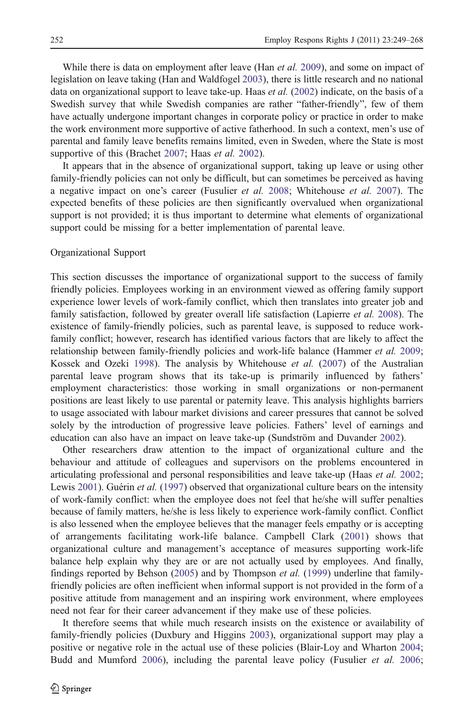While there is data on employment after leave (Han *et al.* [2009\)](#page-19-0), and some on impact of legislation on leave taking (Han and Waldfogel [2003\)](#page-19-0), there is little research and no national data on organizational support to leave take-up. Haas et al. ([2002\)](#page-19-0) indicate, on the basis of a Swedish survey that while Swedish companies are rather "father-friendly", few of them have actually undergone important changes in corporate policy or practice in order to make the work environment more supportive of active fatherhood. In such a context, men's use of parental and family leave benefits remains limited, even in Sweden, where the State is most supportive of this (Brachet [2007](#page-18-0); Haas et al. [2002](#page-19-0)).

It appears that in the absence of organizational support, taking up leave or using other family-friendly policies can not only be difficult, but can sometimes be perceived as having a negative impact on one's career (Fusulier *et al.* [2008](#page-18-0); Whitehouse *et al.* [2007](#page-19-0)). The expected benefits of these policies are then significantly overvalued when organizational support is not provided; it is thus important to determine what elements of organizational support could be missing for a better implementation of parental leave.

#### Organizational Support

This section discusses the importance of organizational support to the success of family friendly policies. Employees working in an environment viewed as offering family support experience lower levels of work-family conflict, which then translates into greater job and family satisfaction, followed by greater overall life satisfaction (Lapierre et al. [2008](#page-19-0)). The existence of family-friendly policies, such as parental leave, is supposed to reduce workfamily conflict; however, research has identified various factors that are likely to affect the relationship between family-friendly policies and work-life balance (Hammer et al. [2009](#page-19-0); Kossek and Ozeki [1998](#page-19-0)). The analysis by Whitehouse et al. ([2007\)](#page-19-0) of the Australian parental leave program shows that its take-up is primarily influenced by fathers' employment characteristics: those working in small organizations or non-permanent positions are least likely to use parental or paternity leave. This analysis highlights barriers to usage associated with labour market divisions and career pressures that cannot be solved solely by the introduction of progressive leave policies. Fathers' level of earnings and education can also have an impact on leave take-up (Sundström and Duvander [2002](#page-19-0)).

Other researchers draw attention to the impact of organizational culture and the behaviour and attitude of colleagues and supervisors on the problems encountered in articulating professional and personal responsibilities and leave take-up (Haas et al. [2002](#page-19-0); Lewis [2001\)](#page-19-0). Guérin et al. [\(1997](#page-19-0)) observed that organizational culture bears on the intensity of work-family conflict: when the employee does not feel that he/she will suffer penalties because of family matters, he/she is less likely to experience work-family conflict. Conflict is also lessened when the employee believes that the manager feels empathy or is accepting of arrangements facilitating work-life balance. Campbell Clark ([2001\)](#page-18-0) shows that organizational culture and management's acceptance of measures supporting work-life balance help explain why they are or are not actually used by employees. And finally, findings reported by Behson ([2005\)](#page-18-0) and by Thompson *et al.* ([1999\)](#page-19-0) underline that familyfriendly policies are often inefficient when informal support is not provided in the form of a positive attitude from management and an inspiring work environment, where employees need not fear for their career advancement if they make use of these policies.

It therefore seems that while much research insists on the existence or availability of family-friendly policies (Duxbury and Higgins [2003](#page-18-0)), organizational support may play a positive or negative role in the actual use of these policies (Blair-Loy and Wharton [2004](#page-18-0); Budd and Mumford [2006\)](#page-18-0), including the parental leave policy (Fusulier et al. [2006](#page-18-0);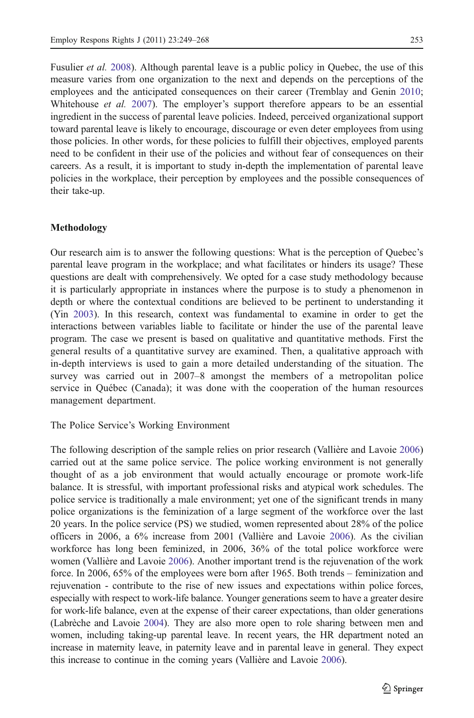Fusulier *et al.* [2008](#page-18-0)). Although parental leave is a public policy in Quebec, the use of this measure varies from one organization to the next and depends on the perceptions of the employees and the anticipated consequences on their career (Tremblay and Genin [2010](#page-19-0); Whitehouse *et al.* [2007\)](#page-19-0). The employer's support therefore appears to be an essential ingredient in the success of parental leave policies. Indeed, perceived organizational support toward parental leave is likely to encourage, discourage or even deter employees from using those policies. In other words, for these policies to fulfill their objectives, employed parents need to be confident in their use of the policies and without fear of consequences on their careers. As a result, it is important to study in-depth the implementation of parental leave policies in the workplace, their perception by employees and the possible consequences of their take-up.

# Methodology

Our research aim is to answer the following questions: What is the perception of Quebec's parental leave program in the workplace; and what facilitates or hinders its usage? These questions are dealt with comprehensively. We opted for a case study methodology because it is particularly appropriate in instances where the purpose is to study a phenomenon in depth or where the contextual conditions are believed to be pertinent to understanding it (Yin [2003\)](#page-19-0). In this research, context was fundamental to examine in order to get the interactions between variables liable to facilitate or hinder the use of the parental leave program. The case we present is based on qualitative and quantitative methods. First the general results of a quantitative survey are examined. Then, a qualitative approach with in-depth interviews is used to gain a more detailed understanding of the situation. The survey was carried out in 2007–8 amongst the members of a metropolitan police service in Québec (Canada); it was done with the cooperation of the human resources management department.

#### The Police Service's Working Environment

The following description of the sample relies on prior research (Vallière and Lavoie [2006\)](#page-19-0) carried out at the same police service. The police working environment is not generally thought of as a job environment that would actually encourage or promote work-life balance. It is stressful, with important professional risks and atypical work schedules. The police service is traditionally a male environment; yet one of the significant trends in many police organizations is the feminization of a large segment of the workforce over the last 20 years. In the police service (PS) we studied, women represented about 28% of the police officers in 2006, a 6% increase from 2001 (Vallière and Lavoie [2006\)](#page-19-0). As the civilian workforce has long been feminized, in 2006, 36% of the total police workforce were women (Vallière and Lavoie [2006](#page-19-0)). Another important trend is the rejuvenation of the work force. In 2006, 65% of the employees were born after 1965. Both trends – feminization and rejuvenation - contribute to the rise of new issues and expectations within police forces, especially with respect to work-life balance. Younger generations seem to have a greater desire for work-life balance, even at the expense of their career expectations, than older generations (Labrèche and Lavoie [2004\)](#page-19-0). They are also more open to role sharing between men and women, including taking-up parental leave. In recent years, the HR department noted an increase in maternity leave, in paternity leave and in parental leave in general. They expect this increase to continue in the coming years (Vallière and Lavoie [2006\)](#page-19-0).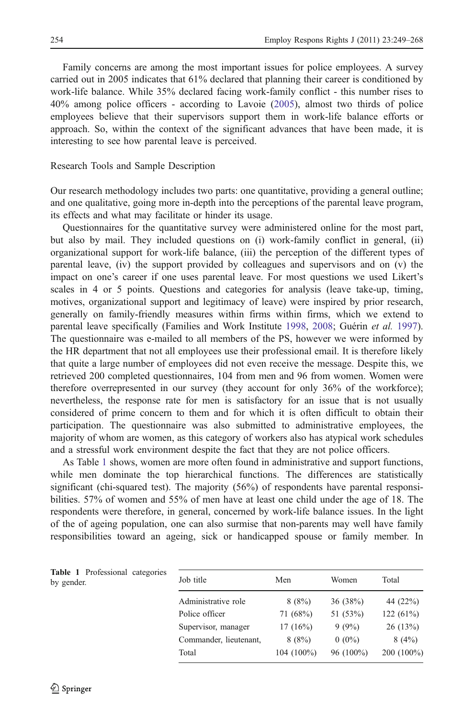Family concerns are among the most important issues for police employees. A survey carried out in 2005 indicates that 61% declared that planning their career is conditioned by work-life balance. While 35% declared facing work-family conflict - this number rises to 40% among police officers - according to Lavoie [\(2005](#page-19-0)), almost two thirds of police employees believe that their supervisors support them in work-life balance efforts or approach. So, within the context of the significant advances that have been made, it is interesting to see how parental leave is perceived.

#### Research Tools and Sample Description

Our research methodology includes two parts: one quantitative, providing a general outline; and one qualitative, going more in-depth into the perceptions of the parental leave program, its effects and what may facilitate or hinder its usage.

Questionnaires for the quantitative survey were administered online for the most part, but also by mail. They included questions on (i) work-family conflict in general, (ii) organizational support for work-life balance, (iii) the perception of the different types of parental leave, (iv) the support provided by colleagues and supervisors and on (v) the impact on one's career if one uses parental leave. For most questions we used Likert's scales in 4 or 5 points. Questions and categories for analysis (leave take-up, timing, motives, organizational support and legitimacy of leave) were inspired by prior research, generally on family-friendly measures within firms within firms, which we extend to parental leave specifically (Families and Work Institute [1998,](#page-18-0) [2008;](#page-18-0) Guérin et al. [1997](#page-19-0)). The questionnaire was e-mailed to all members of the PS, however we were informed by the HR department that not all employees use their professional email. It is therefore likely that quite a large number of employees did not even receive the message. Despite this, we retrieved 200 completed questionnaires, 104 from men and 96 from women. Women were therefore overrepresented in our survey (they account for only 36% of the workforce); nevertheless, the response rate for men is satisfactory for an issue that is not usually considered of prime concern to them and for which it is often difficult to obtain their participation. The questionnaire was also submitted to administrative employees, the majority of whom are women, as this category of workers also has atypical work schedules and a stressful work environment despite the fact that they are not police officers.

As Table 1 shows, women are more often found in administrative and support functions, while men dominate the top hierarchical functions. The differences are statistically significant (chi-squared test). The majority (56%) of respondents have parental responsibilities. 57% of women and 55% of men have at least one child under the age of 18. The respondents were therefore, in general, concerned by work-life balance issues. In the light of the of ageing population, one can also surmise that non-parents may well have family responsibilities toward an ageing, sick or handicapped spouse or family member. In

| categories | Job title              | Men        | Women     | Total      |  |
|------------|------------------------|------------|-----------|------------|--|
|            | Administrative role    | 8(8%)      | 36(38%)   | 44 (22%)   |  |
|            | Police officer         | 71 (68%)   | 51 (53%)  | 122(61%)   |  |
|            | Supervisor, manager    | 17(16%)    | $9(9\%)$  | 26(13%)    |  |
|            | Commander, lieutenant, | 8(8%)      | $0(0\%)$  | 8(4%)      |  |
|            | Total                  | 104 (100%) | 96 (100%) | 200 (100%) |  |
|            |                        |            |           |            |  |

Table 1 Professional by gender.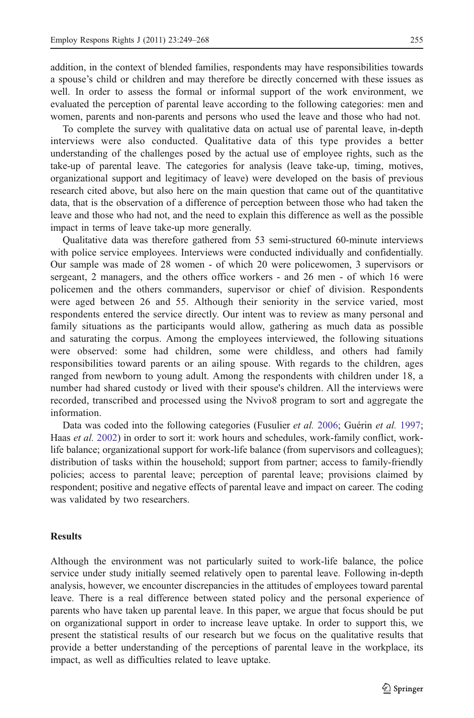addition, in the context of blended families, respondents may have responsibilities towards a spouse's child or children and may therefore be directly concerned with these issues as well. In order to assess the formal or informal support of the work environment, we evaluated the perception of parental leave according to the following categories: men and women, parents and non-parents and persons who used the leave and those who had not.

To complete the survey with qualitative data on actual use of parental leave, in-depth interviews were also conducted. Qualitative data of this type provides a better understanding of the challenges posed by the actual use of employee rights, such as the take-up of parental leave. The categories for analysis (leave take-up, timing, motives, organizational support and legitimacy of leave) were developed on the basis of previous research cited above, but also here on the main question that came out of the quantitative data, that is the observation of a difference of perception between those who had taken the leave and those who had not, and the need to explain this difference as well as the possible impact in terms of leave take-up more generally.

Qualitative data was therefore gathered from 53 semi-structured 60-minute interviews with police service employees. Interviews were conducted individually and confidentially. Our sample was made of 28 women - of which 20 were policewomen, 3 supervisors or sergeant, 2 managers, and the others office workers - and 26 men - of which 16 were policemen and the others commanders, supervisor or chief of division. Respondents were aged between 26 and 55. Although their seniority in the service varied, most respondents entered the service directly. Our intent was to review as many personal and family situations as the participants would allow, gathering as much data as possible and saturating the corpus. Among the employees interviewed, the following situations were observed: some had children, some were childless, and others had family responsibilities toward parents or an ailing spouse. With regards to the children, ages ranged from newborn to young adult. Among the respondents with children under 18, a number had shared custody or lived with their spouse's children. All the interviews were recorded, transcribed and processed using the Nvivo8 program to sort and aggregate the information.

Data was coded into the following categories (Fusulier *et al.* [2006;](#page-18-0) Guérin *et al.* [1997](#page-19-0); Haas et al. [2002\)](#page-19-0) in order to sort it: work hours and schedules, work-family conflict, worklife balance; organizational support for work-life balance (from supervisors and colleagues); distribution of tasks within the household; support from partner; access to family-friendly policies; access to parental leave; perception of parental leave; provisions claimed by respondent; positive and negative effects of parental leave and impact on career. The coding was validated by two researchers.

#### **Results**

Although the environment was not particularly suited to work-life balance, the police service under study initially seemed relatively open to parental leave. Following in-depth analysis, however, we encounter discrepancies in the attitudes of employees toward parental leave. There is a real difference between stated policy and the personal experience of parents who have taken up parental leave. In this paper, we argue that focus should be put on organizational support in order to increase leave uptake. In order to support this, we present the statistical results of our research but we focus on the qualitative results that provide a better understanding of the perceptions of parental leave in the workplace, its impact, as well as difficulties related to leave uptake.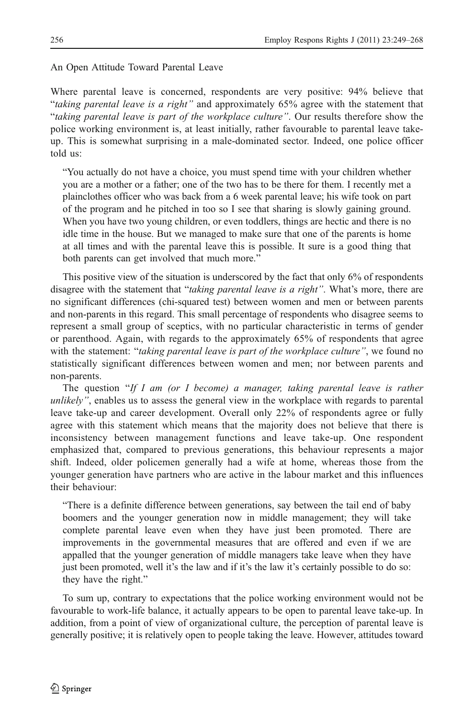## An Open Attitude Toward Parental Leave

Where parental leave is concerned, respondents are very positive: 94% believe that "taking parental leave is a right" and approximately 65% agree with the statement that "taking parental leave is part of the workplace culture". Our results therefore show the police working environment is, at least initially, rather favourable to parental leave takeup. This is somewhat surprising in a male-dominated sector. Indeed, one police officer told us:

"You actually do not have a choice, you must spend time with your children whether you are a mother or a father; one of the two has to be there for them. I recently met a plainclothes officer who was back from a 6 week parental leave; his wife took on part of the program and he pitched in too so I see that sharing is slowly gaining ground. When you have two young children, or even toddlers, things are hectic and there is no idle time in the house. But we managed to make sure that one of the parents is home at all times and with the parental leave this is possible. It sure is a good thing that both parents can get involved that much more."

This positive view of the situation is underscored by the fact that only 6% of respondents disagree with the statement that "taking parental leave is a right". What's more, there are no significant differences (chi-squared test) between women and men or between parents and non-parents in this regard. This small percentage of respondents who disagree seems to represent a small group of sceptics, with no particular characteristic in terms of gender or parenthood. Again, with regards to the approximately 65% of respondents that agree with the statement: "taking parental leave is part of the workplace culture", we found no statistically significant differences between women and men; nor between parents and non-parents.

The question "If I am (or I become) a manager, taking parental leave is rather unlikely", enables us to assess the general view in the workplace with regards to parental leave take-up and career development. Overall only 22% of respondents agree or fully agree with this statement which means that the majority does not believe that there is inconsistency between management functions and leave take-up. One respondent emphasized that, compared to previous generations, this behaviour represents a major shift. Indeed, older policemen generally had a wife at home, whereas those from the younger generation have partners who are active in the labour market and this influences their behaviour:

"There is a definite difference between generations, say between the tail end of baby boomers and the younger generation now in middle management; they will take complete parental leave even when they have just been promoted. There are improvements in the governmental measures that are offered and even if we are appalled that the younger generation of middle managers take leave when they have just been promoted, well it's the law and if it's the law it's certainly possible to do so: they have the right."

To sum up, contrary to expectations that the police working environment would not be favourable to work-life balance, it actually appears to be open to parental leave take-up. In addition, from a point of view of organizational culture, the perception of parental leave is generally positive; it is relatively open to people taking the leave. However, attitudes toward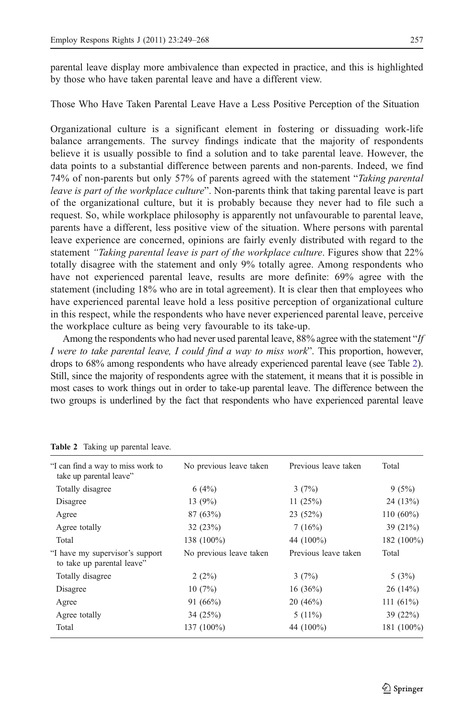<span id="page-8-0"></span>parental leave display more ambivalence than expected in practice, and this is highlighted by those who have taken parental leave and have a different view.

Those Who Have Taken Parental Leave Have a Less Positive Perception of the Situation

Organizational culture is a significant element in fostering or dissuading work-life balance arrangements. The survey findings indicate that the majority of respondents believe it is usually possible to find a solution and to take parental leave. However, the data points to a substantial difference between parents and non-parents. Indeed, we find 74% of non-parents but only 57% of parents agreed with the statement "Taking parental leave is part of the workplace culture". Non-parents think that taking parental leave is part of the organizational culture, but it is probably because they never had to file such a request. So, while workplace philosophy is apparently not unfavourable to parental leave, parents have a different, less positive view of the situation. Where persons with parental leave experience are concerned, opinions are fairly evenly distributed with regard to the statement "Taking parental leave is part of the workplace culture. Figures show that 22% totally disagree with the statement and only 9% totally agree. Among respondents who have not experienced parental leave, results are more definite: 69% agree with the statement (including 18% who are in total agreement). It is clear then that employees who have experienced parental leave hold a less positive perception of organizational culture in this respect, while the respondents who have never experienced parental leave, perceive the workplace culture as being very favourable to its take-up.

Among the respondents who had never used parental leave, 88% agree with the statement "If I were to take parental leave, I could find a way to miss work". This proportion, however, drops to 68% among respondents who have already experienced parental leave (see Table 2). Still, since the majority of respondents agree with the statement, it means that it is possible in most cases to work things out in order to take-up parental leave. The difference between the two groups is underlined by the fact that respondents who have experienced parental leave

| "I can find a way to miss work to<br>take up parental leave"  | No previous leave taken | Previous leave taken | Total       |
|---------------------------------------------------------------|-------------------------|----------------------|-------------|
| Totally disagree                                              | 6(4%)                   | 3(7%)                | 9(5%)       |
| Disagree                                                      | 13 $(9%)$               | 11(25%)              | 24(13%)     |
| Agree                                                         | 87(63%)                 | 23(52%)              | $110(60\%)$ |
| Agree totally                                                 | 32(23%)                 | 7(16%)               | 39 $(21\%)$ |
| Total                                                         | 138 (100%)              | 44 $(100\%)$         | 182 (100%)  |
| "I have my supervisor's support<br>to take up parental leave" | No previous leave taken | Previous leave taken | Total       |
| Totally disagree                                              | 2(2%)                   | 3(7%)                | 5(3%)       |
| Disagree                                                      | 10(7%)                  | 16(36%)              | 26(14%)     |
| Agree                                                         | 91(66%)                 | 20(46%)              | 111 $(61%)$ |
| Agree totally                                                 | 34(25%)                 | $5(11\%)$            | 39(22%)     |
| Total                                                         | 137 (100%)              | 44 (100%)            | 181 (100%)  |
|                                                               |                         |                      |             |

|  |  |  |  | Table 2 Taking up parental leave. |  |
|--|--|--|--|-----------------------------------|--|
|--|--|--|--|-----------------------------------|--|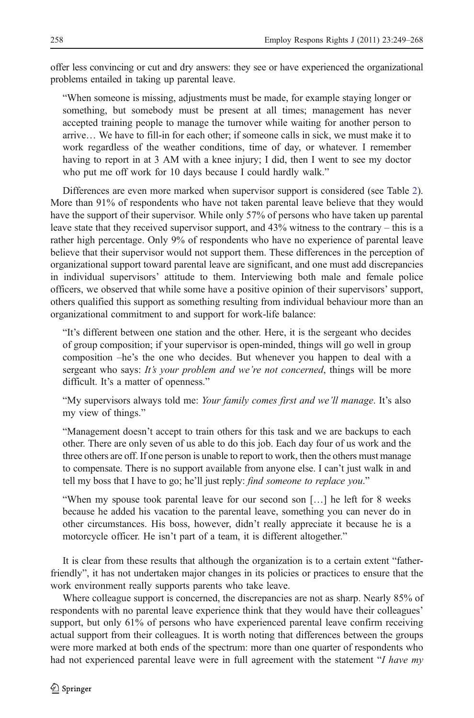offer less convincing or cut and dry answers: they see or have experienced the organizational problems entailed in taking up parental leave.

"When someone is missing, adjustments must be made, for example staying longer or something, but somebody must be present at all times; management has never accepted training people to manage the turnover while waiting for another person to arrive… We have to fill-in for each other; if someone calls in sick, we must make it to work regardless of the weather conditions, time of day, or whatever. I remember having to report in at 3 AM with a knee injury; I did, then I went to see my doctor who put me off work for 10 days because I could hardly walk."

Differences are even more marked when supervisor support is considered (see Table [2](#page-8-0)). More than 91% of respondents who have not taken parental leave believe that they would have the support of their supervisor. While only 57% of persons who have taken up parental leave state that they received supervisor support, and 43% witness to the contrary – this is a rather high percentage. Only 9% of respondents who have no experience of parental leave believe that their supervisor would not support them. These differences in the perception of organizational support toward parental leave are significant, and one must add discrepancies in individual supervisors' attitude to them. Interviewing both male and female police officers, we observed that while some have a positive opinion of their supervisors' support, others qualified this support as something resulting from individual behaviour more than an organizational commitment to and support for work-life balance:

"It's different between one station and the other. Here, it is the sergeant who decides of group composition; if your supervisor is open-minded, things will go well in group composition –he's the one who decides. But whenever you happen to deal with a sergeant who says: It's your problem and we're not concerned, things will be more difficult. It's a matter of openness."

"My supervisors always told me: Your family comes first and we'll manage. It's also my view of things."

"Management doesn't accept to train others for this task and we are backups to each other. There are only seven of us able to do this job. Each day four of us work and the three others are off. If one person is unable to report to work, then the others must manage to compensate. There is no support available from anyone else. I can't just walk in and tell my boss that I have to go; he'll just reply: *find someone to replace you*."

"When my spouse took parental leave for our second son […] he left for 8 weeks because he added his vacation to the parental leave, something you can never do in other circumstances. His boss, however, didn't really appreciate it because he is a motorcycle officer. He isn't part of a team, it is different altogether."

It is clear from these results that although the organization is to a certain extent "fatherfriendly", it has not undertaken major changes in its policies or practices to ensure that the work environment really supports parents who take leave.

Where colleague support is concerned, the discrepancies are not as sharp. Nearly 85% of respondents with no parental leave experience think that they would have their colleagues' support, but only 61% of persons who have experienced parental leave confirm receiving actual support from their colleagues. It is worth noting that differences between the groups were more marked at both ends of the spectrum: more than one quarter of respondents who had not experienced parental leave were in full agreement with the statement "I have my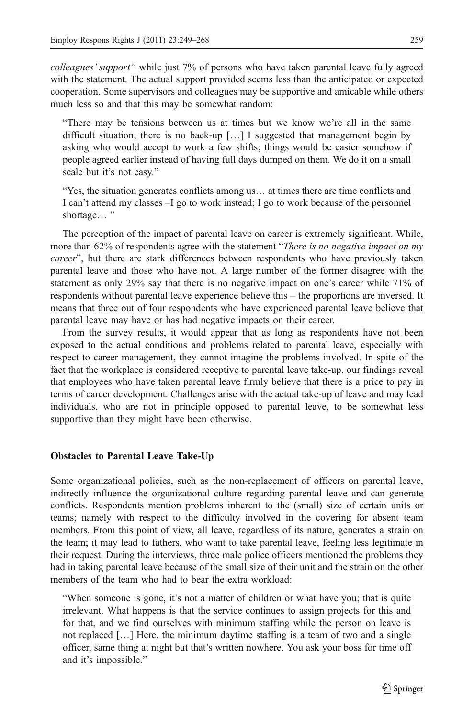colleagues' support" while just 7% of persons who have taken parental leave fully agreed with the statement. The actual support provided seems less than the anticipated or expected cooperation. Some supervisors and colleagues may be supportive and amicable while others much less so and that this may be somewhat random:

"There may be tensions between us at times but we know we're all in the same difficult situation, there is no back-up […] I suggested that management begin by asking who would accept to work a few shifts; things would be easier somehow if people agreed earlier instead of having full days dumped on them. We do it on a small scale but it's not easy."

"Yes, the situation generates conflicts among us… at times there are time conflicts and I can't attend my classes –I go to work instead; I go to work because of the personnel shortage..."

The perception of the impact of parental leave on career is extremely significant. While, more than 62% of respondents agree with the statement "There is no negative impact on my career", but there are stark differences between respondents who have previously taken parental leave and those who have not. A large number of the former disagree with the statement as only 29% say that there is no negative impact on one's career while 71% of respondents without parental leave experience believe this – the proportions are inversed. It means that three out of four respondents who have experienced parental leave believe that parental leave may have or has had negative impacts on their career.

From the survey results, it would appear that as long as respondents have not been exposed to the actual conditions and problems related to parental leave, especially with respect to career management, they cannot imagine the problems involved. In spite of the fact that the workplace is considered receptive to parental leave take-up, our findings reveal that employees who have taken parental leave firmly believe that there is a price to pay in terms of career development. Challenges arise with the actual take-up of leave and may lead individuals, who are not in principle opposed to parental leave, to be somewhat less supportive than they might have been otherwise.

## Obstacles to Parental Leave Take-Up

Some organizational policies, such as the non-replacement of officers on parental leave, indirectly influence the organizational culture regarding parental leave and can generate conflicts. Respondents mention problems inherent to the (small) size of certain units or teams; namely with respect to the difficulty involved in the covering for absent team members. From this point of view, all leave, regardless of its nature, generates a strain on the team; it may lead to fathers, who want to take parental leave, feeling less legitimate in their request. During the interviews, three male police officers mentioned the problems they had in taking parental leave because of the small size of their unit and the strain on the other members of the team who had to bear the extra workload:

"When someone is gone, it's not a matter of children or what have you; that is quite irrelevant. What happens is that the service continues to assign projects for this and for that, and we find ourselves with minimum staffing while the person on leave is not replaced […] Here, the minimum daytime staffing is a team of two and a single officer, same thing at night but that's written nowhere. You ask your boss for time off and it's impossible."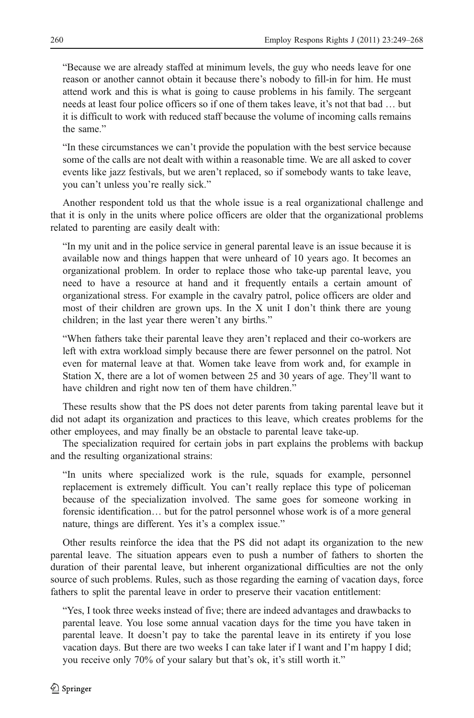"Because we are already staffed at minimum levels, the guy who needs leave for one reason or another cannot obtain it because there's nobody to fill-in for him. He must attend work and this is what is going to cause problems in his family. The sergeant needs at least four police officers so if one of them takes leave, it's not that bad … but it is difficult to work with reduced staff because the volume of incoming calls remains the same."

"In these circumstances we can't provide the population with the best service because some of the calls are not dealt with within a reasonable time. We are all asked to cover events like jazz festivals, but we aren't replaced, so if somebody wants to take leave, you can't unless you're really sick."

Another respondent told us that the whole issue is a real organizational challenge and that it is only in the units where police officers are older that the organizational problems related to parenting are easily dealt with:

"In my unit and in the police service in general parental leave is an issue because it is available now and things happen that were unheard of 10 years ago. It becomes an organizational problem. In order to replace those who take-up parental leave, you need to have a resource at hand and it frequently entails a certain amount of organizational stress. For example in the cavalry patrol, police officers are older and most of their children are grown ups. In the X unit I don't think there are young children; in the last year there weren't any births."

"When fathers take their parental leave they aren't replaced and their co-workers are left with extra workload simply because there are fewer personnel on the patrol. Not even for maternal leave at that. Women take leave from work and, for example in Station X, there are a lot of women between 25 and 30 years of age. They'll want to have children and right now ten of them have children."

These results show that the PS does not deter parents from taking parental leave but it did not adapt its organization and practices to this leave, which creates problems for the other employees, and may finally be an obstacle to parental leave take-up.

The specialization required for certain jobs in part explains the problems with backup and the resulting organizational strains:

"In units where specialized work is the rule, squads for example, personnel replacement is extremely difficult. You can't really replace this type of policeman because of the specialization involved. The same goes for someone working in forensic identification… but for the patrol personnel whose work is of a more general nature, things are different. Yes it's a complex issue."

Other results reinforce the idea that the PS did not adapt its organization to the new parental leave. The situation appears even to push a number of fathers to shorten the duration of their parental leave, but inherent organizational difficulties are not the only source of such problems. Rules, such as those regarding the earning of vacation days, force fathers to split the parental leave in order to preserve their vacation entitlement:

"Yes, I took three weeks instead of five; there are indeed advantages and drawbacks to parental leave. You lose some annual vacation days for the time you have taken in parental leave. It doesn't pay to take the parental leave in its entirety if you lose vacation days. But there are two weeks I can take later if I want and I'm happy I did; you receive only 70% of your salary but that's ok, it's still worth it."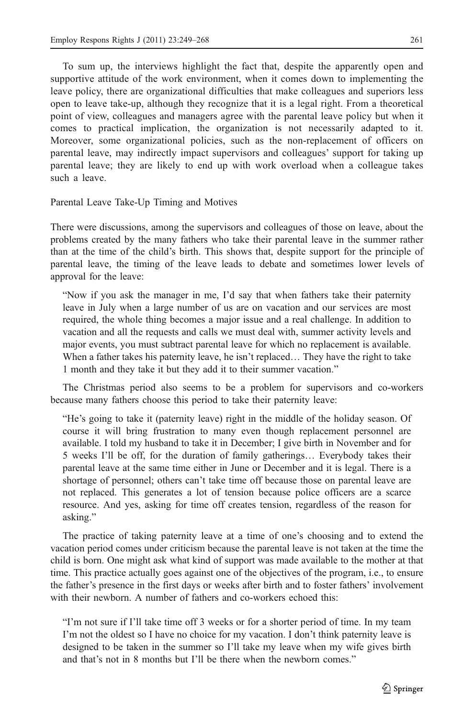To sum up, the interviews highlight the fact that, despite the apparently open and supportive attitude of the work environment, when it comes down to implementing the leave policy, there are organizational difficulties that make colleagues and superiors less open to leave take-up, although they recognize that it is a legal right. From a theoretical point of view, colleagues and managers agree with the parental leave policy but when it comes to practical implication, the organization is not necessarily adapted to it. Moreover, some organizational policies, such as the non-replacement of officers on parental leave, may indirectly impact supervisors and colleagues' support for taking up parental leave; they are likely to end up with work overload when a colleague takes such a leave.

Parental Leave Take-Up Timing and Motives

There were discussions, among the supervisors and colleagues of those on leave, about the problems created by the many fathers who take their parental leave in the summer rather than at the time of the child's birth. This shows that, despite support for the principle of parental leave, the timing of the leave leads to debate and sometimes lower levels of approval for the leave:

"Now if you ask the manager in me, I'd say that when fathers take their paternity leave in July when a large number of us are on vacation and our services are most required, the whole thing becomes a major issue and a real challenge. In addition to vacation and all the requests and calls we must deal with, summer activity levels and major events, you must subtract parental leave for which no replacement is available. When a father takes his paternity leave, he isn't replaced… They have the right to take 1 month and they take it but they add it to their summer vacation."

The Christmas period also seems to be a problem for supervisors and co-workers because many fathers choose this period to take their paternity leave:

"He's going to take it (paternity leave) right in the middle of the holiday season. Of course it will bring frustration to many even though replacement personnel are available. I told my husband to take it in December; I give birth in November and for 5 weeks I'll be off, for the duration of family gatherings… Everybody takes their parental leave at the same time either in June or December and it is legal. There is a shortage of personnel; others can't take time off because those on parental leave are not replaced. This generates a lot of tension because police officers are a scarce resource. And yes, asking for time off creates tension, regardless of the reason for asking."

The practice of taking paternity leave at a time of one's choosing and to extend the vacation period comes under criticism because the parental leave is not taken at the time the child is born. One might ask what kind of support was made available to the mother at that time. This practice actually goes against one of the objectives of the program, i.e., to ensure the father's presence in the first days or weeks after birth and to foster fathers' involvement with their newborn. A number of fathers and co-workers echoed this:

"I'm not sure if I'll take time off 3 weeks or for a shorter period of time. In my team I'm not the oldest so I have no choice for my vacation. I don't think paternity leave is designed to be taken in the summer so I'll take my leave when my wife gives birth and that's not in 8 months but I'll be there when the newborn comes."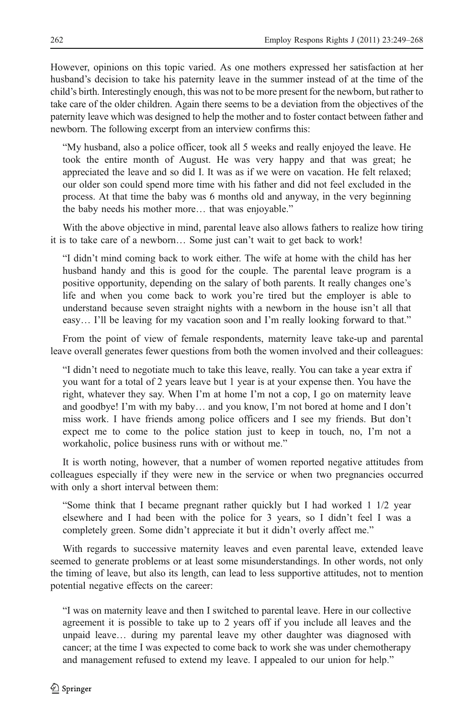However, opinions on this topic varied. As one mothers expressed her satisfaction at her husband's decision to take his paternity leave in the summer instead of at the time of the child's birth. Interestingly enough, this was not to be more present for the newborn, but rather to take care of the older children. Again there seems to be a deviation from the objectives of the paternity leave which was designed to help the mother and to foster contact between father and newborn. The following excerpt from an interview confirms this:

"My husband, also a police officer, took all 5 weeks and really enjoyed the leave. He took the entire month of August. He was very happy and that was great; he appreciated the leave and so did I. It was as if we were on vacation. He felt relaxed; our older son could spend more time with his father and did not feel excluded in the process. At that time the baby was 6 months old and anyway, in the very beginning the baby needs his mother more… that was enjoyable."

With the above objective in mind, parental leave also allows fathers to realize how tiring it is to take care of a newborn… Some just can't wait to get back to work!

"I didn't mind coming back to work either. The wife at home with the child has her husband handy and this is good for the couple. The parental leave program is a positive opportunity, depending on the salary of both parents. It really changes one's life and when you come back to work you're tired but the employer is able to understand because seven straight nights with a newborn in the house isn't all that easy… I'll be leaving for my vacation soon and I'm really looking forward to that."

From the point of view of female respondents, maternity leave take-up and parental leave overall generates fewer questions from both the women involved and their colleagues:

"I didn't need to negotiate much to take this leave, really. You can take a year extra if you want for a total of 2 years leave but 1 year is at your expense then. You have the right, whatever they say. When I'm at home I'm not a cop, I go on maternity leave and goodbye! I'm with my baby… and you know, I'm not bored at home and I don't miss work. I have friends among police officers and I see my friends. But don't expect me to come to the police station just to keep in touch, no, I'm not a workaholic, police business runs with or without me."

It is worth noting, however, that a number of women reported negative attitudes from colleagues especially if they were new in the service or when two pregnancies occurred with only a short interval between them:

"Some think that I became pregnant rather quickly but I had worked 1 1/2 year elsewhere and I had been with the police for 3 years, so I didn't feel I was a completely green. Some didn't appreciate it but it didn't overly affect me."

With regards to successive maternity leaves and even parental leave, extended leave seemed to generate problems or at least some misunderstandings. In other words, not only the timing of leave, but also its length, can lead to less supportive attitudes, not to mention potential negative effects on the career:

"I was on maternity leave and then I switched to parental leave. Here in our collective agreement it is possible to take up to 2 years off if you include all leaves and the unpaid leave… during my parental leave my other daughter was diagnosed with cancer; at the time I was expected to come back to work she was under chemotherapy and management refused to extend my leave. I appealed to our union for help."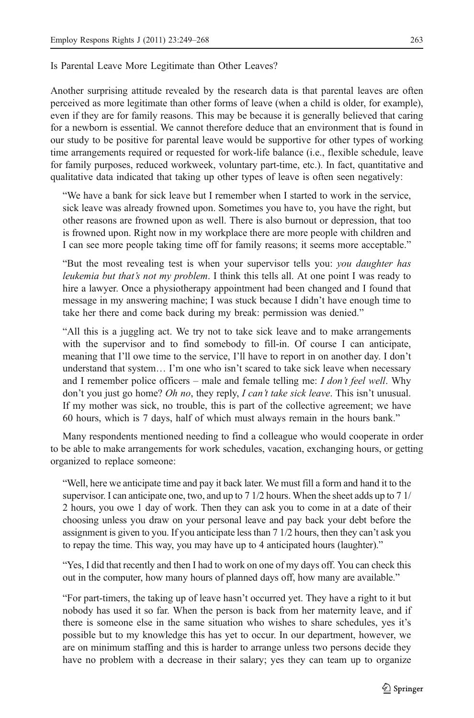Is Parental Leave More Legitimate than Other Leaves?

Another surprising attitude revealed by the research data is that parental leaves are often perceived as more legitimate than other forms of leave (when a child is older, for example), even if they are for family reasons. This may be because it is generally believed that caring for a newborn is essential. We cannot therefore deduce that an environment that is found in our study to be positive for parental leave would be supportive for other types of working time arrangements required or requested for work-life balance (i.e., flexible schedule, leave for family purposes, reduced workweek, voluntary part-time, etc.). In fact, quantitative and qualitative data indicated that taking up other types of leave is often seen negatively:

"We have a bank for sick leave but I remember when I started to work in the service, sick leave was already frowned upon. Sometimes you have to, you have the right, but other reasons are frowned upon as well. There is also burnout or depression, that too is frowned upon. Right now in my workplace there are more people with children and I can see more people taking time off for family reasons; it seems more acceptable."

"But the most revealing test is when your supervisor tells you: you daughter has leukemia but that's not my problem. I think this tells all. At one point I was ready to hire a lawyer. Once a physiotherapy appointment had been changed and I found that message in my answering machine; I was stuck because I didn't have enough time to take her there and come back during my break: permission was denied."

"All this is a juggling act. We try not to take sick leave and to make arrangements with the supervisor and to find somebody to fill-in. Of course I can anticipate, meaning that I'll owe time to the service, I'll have to report in on another day. I don't understand that system… I'm one who isn't scared to take sick leave when necessary and I remember police officers – male and female telling me: I don't feel well. Why don't you just go home? *Oh no*, they reply, *I can't take sick leave*. This isn't unusual. If my mother was sick, no trouble, this is part of the collective agreement; we have 60 hours, which is 7 days, half of which must always remain in the hours bank."

Many respondents mentioned needing to find a colleague who would cooperate in order to be able to make arrangements for work schedules, vacation, exchanging hours, or getting organized to replace someone:

"Well, here we anticipate time and pay it back later. We must fill a form and hand it to the supervisor. I can anticipate one, two, and up to 7 1/2 hours. When the sheet adds up to 7 1/ 2 hours, you owe 1 day of work. Then they can ask you to come in at a date of their choosing unless you draw on your personal leave and pay back your debt before the assignment is given to you. If you anticipate less than 7 1/2 hours, then they can't ask you to repay the time. This way, you may have up to 4 anticipated hours (laughter)."

"Yes, I did that recently and then I had to work on one of my days off. You can check this out in the computer, how many hours of planned days off, how many are available."

"For part-timers, the taking up of leave hasn't occurred yet. They have a right to it but nobody has used it so far. When the person is back from her maternity leave, and if there is someone else in the same situation who wishes to share schedules, yes it's possible but to my knowledge this has yet to occur. In our department, however, we are on minimum staffing and this is harder to arrange unless two persons decide they have no problem with a decrease in their salary; yes they can team up to organize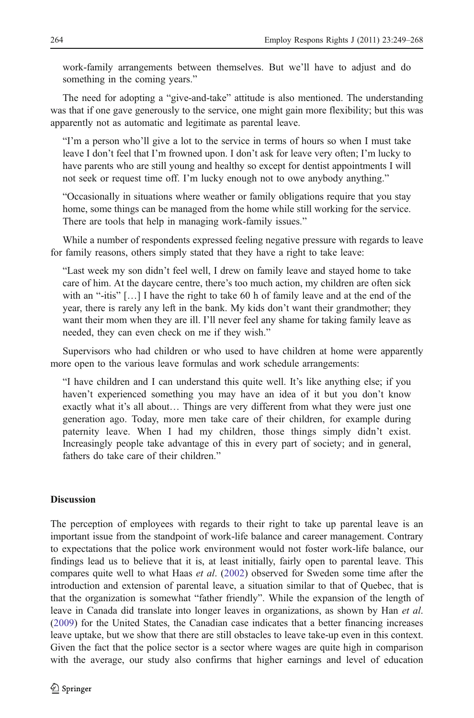work-family arrangements between themselves. But we'll have to adjust and do something in the coming years."

The need for adopting a "give-and-take" attitude is also mentioned. The understanding was that if one gave generously to the service, one might gain more flexibility; but this was apparently not as automatic and legitimate as parental leave.

"I'm a person who'll give a lot to the service in terms of hours so when I must take leave I don't feel that I'm frowned upon. I don't ask for leave very often; I'm lucky to have parents who are still young and healthy so except for dentist appointments I will not seek or request time off. I'm lucky enough not to owe anybody anything."

"Occasionally in situations where weather or family obligations require that you stay home, some things can be managed from the home while still working for the service. There are tools that help in managing work-family issues."

While a number of respondents expressed feeling negative pressure with regards to leave for family reasons, others simply stated that they have a right to take leave:

"Last week my son didn't feel well, I drew on family leave and stayed home to take care of him. At the daycare centre, there's too much action, my children are often sick with an "-itis" [...] I have the right to take 60 h of family leave and at the end of the year, there is rarely any left in the bank. My kids don't want their grandmother; they want their mom when they are ill. I'll never feel any shame for taking family leave as needed, they can even check on me if they wish."

Supervisors who had children or who used to have children at home were apparently more open to the various leave formulas and work schedule arrangements:

"I have children and I can understand this quite well. It's like anything else; if you haven't experienced something you may have an idea of it but you don't know exactly what it's all about… Things are very different from what they were just one generation ago. Today, more men take care of their children, for example during paternity leave. When I had my children, those things simply didn't exist. Increasingly people take advantage of this in every part of society; and in general, fathers do take care of their children."

# Discussion

The perception of employees with regards to their right to take up parental leave is an important issue from the standpoint of work-life balance and career management. Contrary to expectations that the police work environment would not foster work-life balance, our findings lead us to believe that it is, at least initially, fairly open to parental leave. This compares quite well to what Haas *et al.* ([2002\)](#page-19-0) observed for Sweden some time after the introduction and extension of parental leave, a situation similar to that of Quebec, that is that the organization is somewhat "father friendly". While the expansion of the length of leave in Canada did translate into longer leaves in organizations, as shown by Han et al. ([2009\)](#page-19-0) for the United States, the Canadian case indicates that a better financing increases leave uptake, but we show that there are still obstacles to leave take-up even in this context. Given the fact that the police sector is a sector where wages are quite high in comparison with the average, our study also confirms that higher earnings and level of education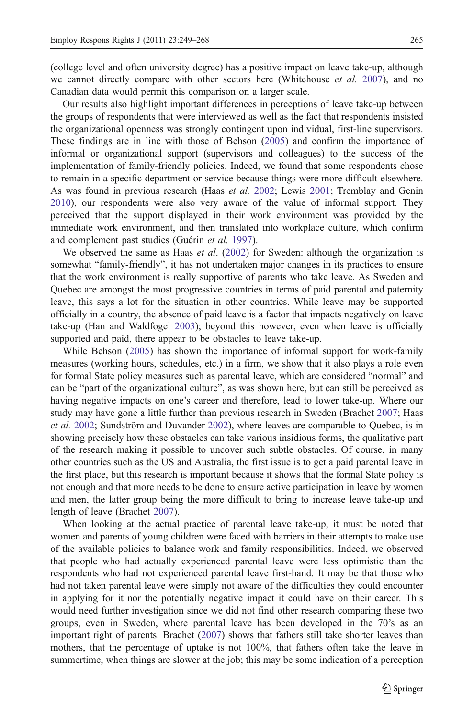(college level and often university degree) has a positive impact on leave take-up, although we cannot directly compare with other sectors here (Whitehouse *et al.* [2007\)](#page-19-0), and no Canadian data would permit this comparison on a larger scale.

Our results also highlight important differences in perceptions of leave take-up between the groups of respondents that were interviewed as well as the fact that respondents insisted the organizational openness was strongly contingent upon individual, first-line supervisors. These findings are in line with those of Behson [\(2005](#page-18-0)) and confirm the importance of informal or organizational support (supervisors and colleagues) to the success of the implementation of family-friendly policies. Indeed, we found that some respondents chose to remain in a specific department or service because things were more difficult elsewhere. As was found in previous research (Haas et al. [2002;](#page-19-0) Lewis [2001](#page-19-0); Tremblay and Genin [2010\)](#page-19-0), our respondents were also very aware of the value of informal support. They perceived that the support displayed in their work environment was provided by the immediate work environment, and then translated into workplace culture, which confirm and complement past studies (Guérin et al. [1997\)](#page-19-0).

We observed the same as Haas *et al.*  $(2002)$  $(2002)$  for Sweden: although the organization is somewhat "family-friendly", it has not undertaken major changes in its practices to ensure that the work environment is really supportive of parents who take leave. As Sweden and Quebec are amongst the most progressive countries in terms of paid parental and paternity leave, this says a lot for the situation in other countries. While leave may be supported officially in a country, the absence of paid leave is a factor that impacts negatively on leave take-up (Han and Waldfogel [2003](#page-19-0)); beyond this however, even when leave is officially supported and paid, there appear to be obstacles to leave take-up.

While Behson ([2005\)](#page-18-0) has shown the importance of informal support for work-family measures (working hours, schedules, etc.) in a firm, we show that it also plays a role even for formal State policy measures such as parental leave, which are considered "normal" and can be "part of the organizational culture", as was shown here, but can still be perceived as having negative impacts on one's career and therefore, lead to lower take-up. Where our study may have gone a little further than previous research in Sweden (Brachet [2007;](#page-18-0) Haas et al. [2002;](#page-19-0) Sundström and Duvander [2002\)](#page-19-0), where leaves are comparable to Quebec, is in showing precisely how these obstacles can take various insidious forms, the qualitative part of the research making it possible to uncover such subtle obstacles. Of course, in many other countries such as the US and Australia, the first issue is to get a paid parental leave in the first place, but this research is important because it shows that the formal State policy is not enough and that more needs to be done to ensure active participation in leave by women and men, the latter group being the more difficult to bring to increase leave take-up and length of leave (Brachet [2007](#page-18-0)).

When looking at the actual practice of parental leave take-up, it must be noted that women and parents of young children were faced with barriers in their attempts to make use of the available policies to balance work and family responsibilities. Indeed, we observed that people who had actually experienced parental leave were less optimistic than the respondents who had not experienced parental leave first-hand. It may be that those who had not taken parental leave were simply not aware of the difficulties they could encounter in applying for it nor the potentially negative impact it could have on their career. This would need further investigation since we did not find other research comparing these two groups, even in Sweden, where parental leave has been developed in the 70's as an important right of parents. Brachet ([2007](#page-18-0)) shows that fathers still take shorter leaves than mothers, that the percentage of uptake is not 100%, that fathers often take the leave in summertime, when things are slower at the job; this may be some indication of a perception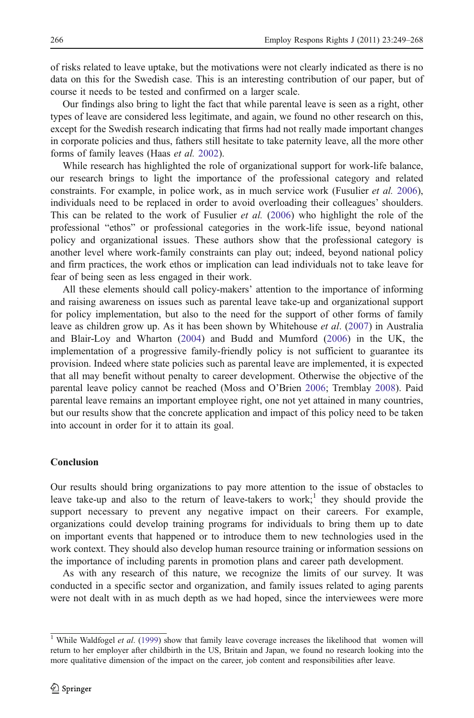of risks related to leave uptake, but the motivations were not clearly indicated as there is no data on this for the Swedish case. This is an interesting contribution of our paper, but of course it needs to be tested and confirmed on a larger scale.

Our findings also bring to light the fact that while parental leave is seen as a right, other types of leave are considered less legitimate, and again, we found no other research on this, except for the Swedish research indicating that firms had not really made important changes in corporate policies and thus, fathers still hesitate to take paternity leave, all the more other forms of family leaves (Haas et al. [2002\)](#page-19-0).

While research has highlighted the role of organizational support for work-life balance, our research brings to light the importance of the professional category and related constraints. For example, in police work, as in much service work (Fusulier *et al.* [2006](#page-18-0)), individuals need to be replaced in order to avoid overloading their colleagues' shoulders. This can be related to the work of Fusulier *et al.* ([2006\)](#page-18-0) who highlight the role of the professional "ethos" or professional categories in the work-life issue, beyond national policy and organizational issues. These authors show that the professional category is another level where work-family constraints can play out; indeed, beyond national policy and firm practices, the work ethos or implication can lead individuals not to take leave for fear of being seen as less engaged in their work.

All these elements should call policy-makers' attention to the importance of informing and raising awareness on issues such as parental leave take-up and organizational support for policy implementation, but also to the need for the support of other forms of family leave as children grow up. As it has been shown by Whitehouse et al. [\(2007\)](#page-19-0) in Australia and Blair-Loy and Wharton ([2004\)](#page-18-0) and Budd and Mumford [\(2006](#page-18-0)) in the UK, the implementation of a progressive family-friendly policy is not sufficient to guarantee its provision. Indeed where state policies such as parental leave are implemented, it is expected that all may benefit without penalty to career development. Otherwise the objective of the parental leave policy cannot be reached (Moss and O'Brien [2006](#page-19-0); Tremblay [2008\)](#page-19-0). Paid parental leave remains an important employee right, one not yet attained in many countries, but our results show that the concrete application and impact of this policy need to be taken into account in order for it to attain its goal.

# Conclusion

Our results should bring organizations to pay more attention to the issue of obstacles to leave take-up and also to the return of leave-takers to work;<sup>1</sup> they should provide the support necessary to prevent any negative impact on their careers. For example, organizations could develop training programs for individuals to bring them up to date on important events that happened or to introduce them to new technologies used in the work context. They should also develop human resource training or information sessions on the importance of including parents in promotion plans and career path development.

As with any research of this nature, we recognize the limits of our survey. It was conducted in a specific sector and organization, and family issues related to aging parents were not dealt with in as much depth as we had hoped, since the interviewees were more

<sup>&</sup>lt;sup>1</sup> While Waldfogel et al. ([1999\)](#page-19-0) show that family leave coverage increases the likelihood that women will return to her employer after childbirth in the US, Britain and Japan, we found no research looking into the more qualitative dimension of the impact on the career, job content and responsibilities after leave.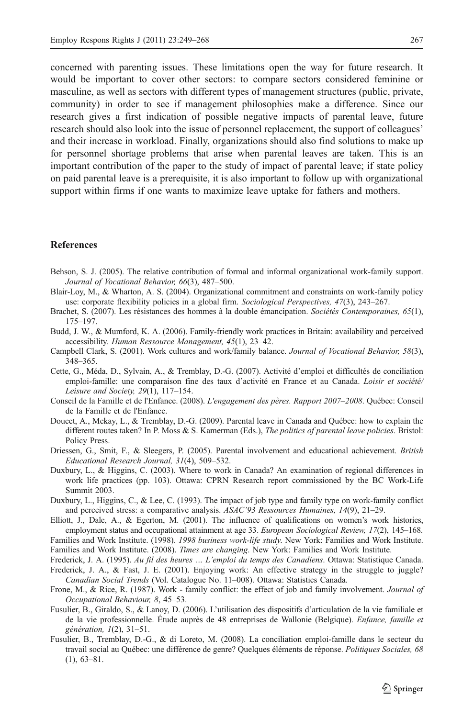<span id="page-18-0"></span>concerned with parenting issues. These limitations open the way for future research. It would be important to cover other sectors: to compare sectors considered feminine or masculine, as well as sectors with different types of management structures (public, private, community) in order to see if management philosophies make a difference. Since our research gives a first indication of possible negative impacts of parental leave, future research should also look into the issue of personnel replacement, the support of colleagues' and their increase in workload. Finally, organizations should also find solutions to make up for personnel shortage problems that arise when parental leaves are taken. This is an important contribution of the paper to the study of impact of parental leave; if state policy on paid parental leave is a prerequisite, it is also important to follow up with organizational support within firms if one wants to maximize leave uptake for fathers and mothers.

# References

- Behson, S. J. (2005). The relative contribution of formal and informal organizational work-family support. Journal of Vocational Behavior, 66(3), 487–500.
- Blair-Loy, M., & Wharton, A. S. (2004). Organizational commitment and constraints on work-family policy use: corporate flexibility policies in a global firm. Sociological Perspectives, 47(3), 243–267.
- Brachet, S. (2007). Les résistances des hommes à la double émancipation. Sociétés Contemporaines, 65(1), 175–197.
- Budd, J. W., & Mumford, K. A. (2006). Family-friendly work practices in Britain: availability and perceived accessibility. Human Ressource Management, 45(1), 23–42.
- Campbell Clark, S. (2001). Work cultures and work/family balance. Journal of Vocational Behavior, 58(3), 348–365.
- Cette, G., Méda, D., Sylvain, A., & Tremblay, D.-G. (2007). Activité d'emploi et difficultés de conciliation emploi-famille: une comparaison fine des taux d'activité en France et au Canada. Loisir et société/ Leisure and Society, 29(1), 117–154.
- Conseil de la Famille et de l'Enfance. (2008). L'engagement des pères. Rapport 2007–2008. Québec: Conseil de la Famille et de l'Enfance.
- Doucet, A., Mckay, L., & Tremblay, D.-G. (2009). Parental leave in Canada and Québec: how to explain the different routes taken? In P. Moss & S. Kamerman (Eds.), The politics of parental leave policies. Bristol: Policy Press.
- Driessen, G., Smit, F., & Sleegers, P. (2005). Parental involvement and educational achievement. British Educational Research Journal, 31(4), 509–532.
- Duxbury, L., & Higgins, C. (2003). Where to work in Canada? An examination of regional differences in work life practices (pp. 103). Ottawa: CPRN Research report commissioned by the BC Work-Life Summit 2003.
- Duxbury, L., Higgins, C., & Lee, C. (1993). The impact of job type and family type on work-family conflict and perceived stress: a comparative analysis. ASAC'93 Ressources Humaines, 14(9), 21–29.
- Elliott, J., Dale, A., & Egerton, M. (2001). The influence of qualifications on women's work histories, employment status and occupational attainment at age 33. European Sociological Review, 17(2), 145–168.
- Families and Work Institute. (1998). 1998 business work-life study. New York: Families and Work Institute.
- Families and Work Institute. (2008). Times are changing. New York: Families and Work Institute.
- Frederick, J. A. (1995). Au fil des heures … L'emploi du temps des Canadiens. Ottawa: Statistique Canada. Frederick, J. A., & Fast, J. E. (2001). Enjoying work: An effective strategy in the struggle to juggle? Canadian Social Trends (Vol. Catalogue No. 11–008). Ottawa: Statistics Canada.
- Frone, M., & Rice, R. (1987). Work family conflict: the effect of job and family involvement. Journal of Occupational Behaviour, 8, 45–53.
- Fusulier, B., Giraldo, S., & Lanoy, D. (2006). L'utilisation des dispositifs d'articulation de la vie familiale et de la vie professionnelle. Étude auprès de 48 entreprises de Wallonie (Belgique). Enfance, famille et génération, 1(2), 31–51.
- Fusulier, B., Tremblay, D.-G., & di Loreto, M. (2008). La conciliation emploi-famille dans le secteur du travail social au Québec: une différence de genre? Quelques éléments de réponse. Politiques Sociales, 68  $(1), 63-81.$